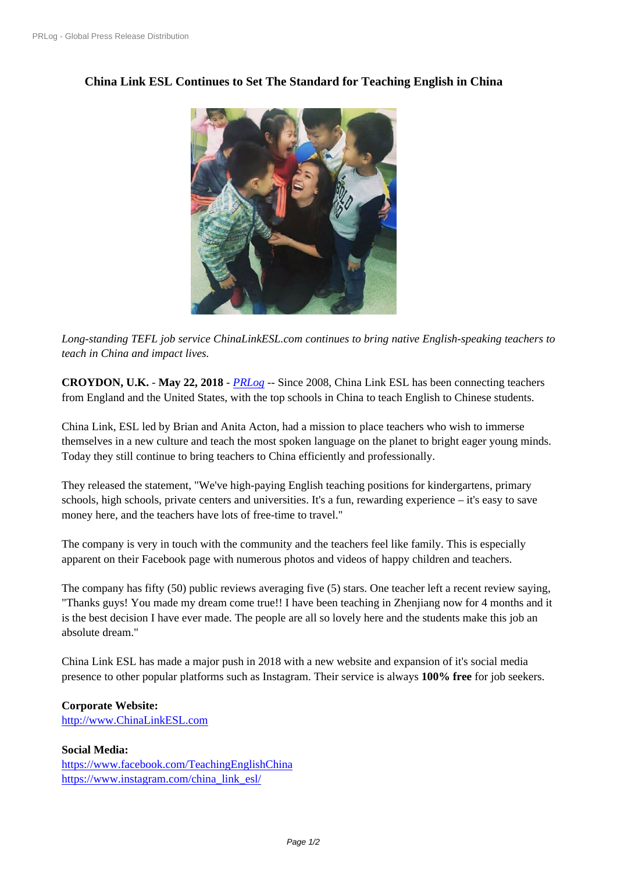## **[China Link ESL Co](https://www.prlog.org/)ntinues to Set The Standard for Teaching English in China**



*Long-standing TEFL job se[rvice ChinaLinkESL.com continues to bring n](https://www.prlog.org/12709645-teachers-from-england-chinalinkeslcom.jpg)ative English-speaking teachers to teach in China and impact lives.*

**CROYDON, U.K.** - **May 22, 2018** - *PRLog* -- Since 2008, China Link ESL has been connecting teachers from England and the United States, with the top schools in China to teach English to Chinese students.

China Link, ESL led by Brian and Anita Acton, had a mission to place teachers who wish to immerse themselves in a new culture and teac[h the mo](https://www.prlog.org)st spoken language on the planet to bright eager young minds. Today they still continue to bring teachers to China efficiently and professionally.

They released the statement, "We've high-paying English teaching positions for kindergartens, primary schools, high schools, private centers and universities. It's a fun, rewarding experience – it's easy to save money here, and the teachers have lots of free-time to travel."

The company is very in touch with the community and the teachers feel like family. This is especially apparent on their Facebook page with numerous photos and videos of happy children and teachers.

The company has fifty (50) public reviews averaging five (5) stars. One teacher left a recent review saying, "Thanks guys! You made my dream come true!! I have been teaching in Zhenjiang now for 4 months and it is the best decision I have ever made. The people are all so lovely here and the students make this job an absolute dream."

China Link ESL has made a major push in 2018 with a new website and expansion of it's social media presence to other popular platforms such as Instagram. Their service is always **100% free** for job seekers.

## **Corporate Website:**

http://www.ChinaLinkESL.com

## **Social Media:**

https://www.facebook.com/TeachingEnglishChina [https://www.instagram.com/chin](http://www.ChinaLinkESL.com)a\_link\_esl/